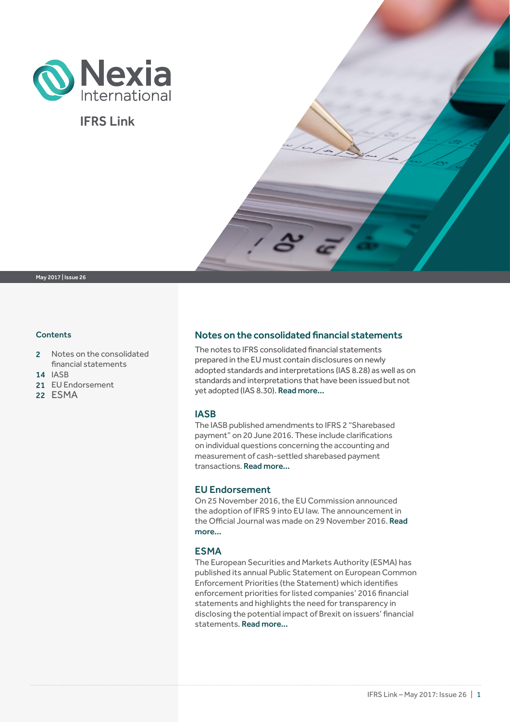

### IFRS Link

#### **Contents**

- 2 Notes on the consolidated financial statements
- 14 IASB
- 21 EU Endorsement
- 22 ESMA

#### Notes on the consolidated financial statements

The notes to IFRS consolidated financial statements prepared in the EU must contain disclosures on newly adopted standards and interpretations (IAS 8.28) as well as on standards and interpretations that have been issued but not yet adopted (IAS 8.30). Read more...

#### IASB

The IASB published amendments to IFRS 2 "Sharebased payment" on 20 June 2016. These include clarifications on individual questions concerning the accounting and measurement of cash-settled sharebased payment transactions. Read more...

#### EU Endorsement

On 25 November 2016, the EU Commission announced the adoption of IFRS 9 into EU law. The announcement in the Official Journal was made on 29 November 2016. Read more...

#### ESMA

The European Securities and Markets Authority (ESMA) has published its annual Public Statement on European Common Enforcement Priorities (the Statement) which identifies enforcement priorities for listed companies' 2016 financial statements and highlights the need for transparency in disclosing the potential impact of Brexit on issuers' financial statements. Read more...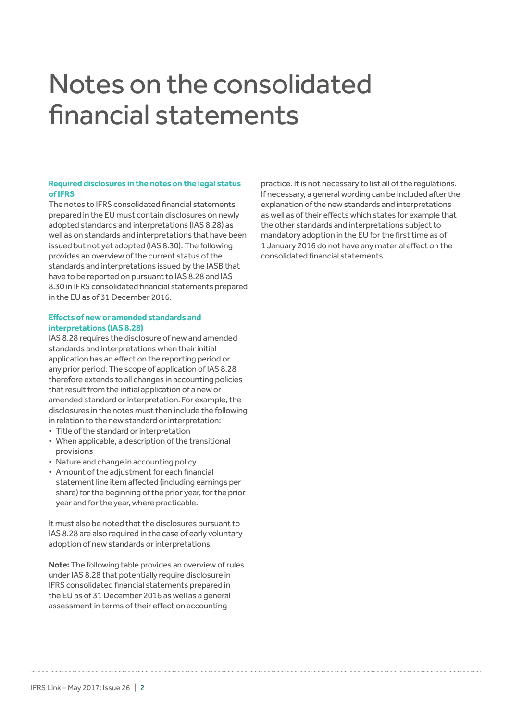## Notes on the consolidated financial statements

#### **Required disclosures in the notes on the legal status of IFRS**

The notes to IFRS consolidated financial statements prepared in the EU must contain disclosures on newly adopted standards and interpretations (IAS 8.28) as well as on standards and interpretations that have been issued but not yet adopted (IAS 8.30). The following provides an overview of the current status of the standards and interpretations issued by the IASB that have to be reported on pursuant to IAS 8.28 and IAS 8.30 in IFRS consolidated financial statements prepared in the EU as of 31 December 2016.

#### **Effects of new or amended standards and interpretations (IAS 8.28)**

IAS 8.28 requires the disclosure of new and amended standards and interpretations when their initial application has an effect on the reporting period or any prior period. The scope of application of IAS 8.28 therefore extends to all changes in accounting policies that result from the initial application of a new or amended standard or interpretation. For example, the disclosures in the notes must then include the following in relation to the new standard or interpretation:

- Title of the standard or interpretation
- When applicable, a description of the transitional provisions
- Nature and change in accounting policy
- Amount of the adjustment for each financial statement line item affected (including earnings per share) for the beginning of the prior year, for the prior year and for the year, where practicable.

It must also be noted that the disclosures pursuant to IAS 8.28 are also required in the case of early voluntary adoption of new standards or interpretations.

**Note:** The following table provides an overview of rules under IAS 8.28 that potentially require disclosure in IFRS consolidated financial statements prepared in the EU as of 31 December 2016 as well as a general assessment in terms of their effect on accounting

practice. It is not necessary to list all of the regulations. If necessary, a general wording can be included after the explanation of the new standards and interpretations as well as of their effects which states for example that the other standards and interpretations subject to mandatory adoption in the EU for the first time as of 1 January 2016 do not have any material effect on the consolidated financial statements.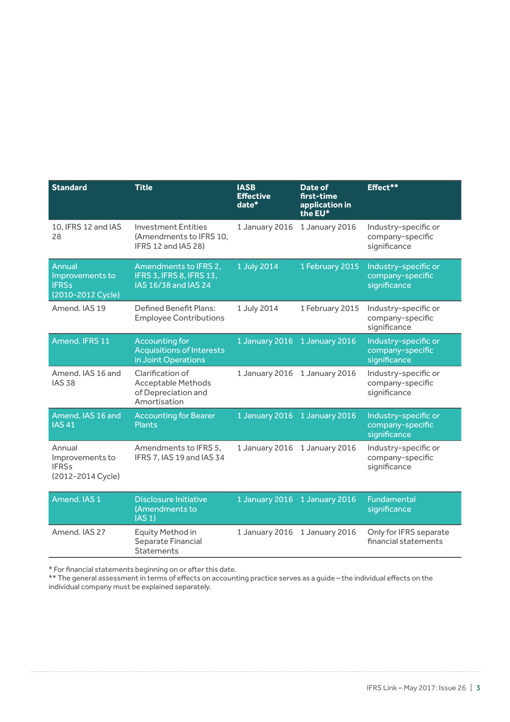| <b>Standard</b>                                                | <b>Title</b>                                                                         | <b>IASB</b><br><b>Effective</b><br>date* | Date of<br>first-time<br>application in<br>the EU* | Effect**                                                 |
|----------------------------------------------------------------|--------------------------------------------------------------------------------------|------------------------------------------|----------------------------------------------------|----------------------------------------------------------|
| 10. IFRS 12 and IAS<br>28                                      | <b>Investment Entities</b><br>(Amendments to IFRS 10.<br>IFRS 12 and IAS 28)         | 1 January 2016                           | 1 January 2016                                     | Industry-specific or<br>company-specific<br>significance |
| Annual<br>Improvements to<br><b>IFRSs</b><br>(2010-2012 Cycle) | Amendments to IFRS 2,<br>IFRS 3, IFRS 8, IFRS 13,<br>IAS 16/38 and IAS 24            | 1 July 2014                              | 1 February 2015                                    | Industry-specific or<br>company-specific<br>significance |
| Amend. IAS 19                                                  | <b>Defined Benefit Plans:</b><br><b>Employee Contributions</b>                       | 1 July 2014                              | 1 February 2015                                    | Industry-specific or<br>company-specific<br>significance |
| Amend. IFRS 11                                                 | <b>Accounting for</b><br><b>Acquisitions of Interests</b><br>in Joint Operations     | 1 January 2016                           | 1 January 2016                                     | Industry-specific or<br>company-specific<br>significance |
| Amend. IAS 16 and<br><b>IAS 38</b>                             | Clarification of<br><b>Acceptable Methods</b><br>of Depreciation and<br>Amortisation | 1 January 2016                           | 1 January 2016                                     | Industry-specific or<br>company-specific<br>significance |
| Amend. IAS 16 and<br><b>IAS 41</b>                             | <b>Accounting for Bearer</b><br><b>Plants</b>                                        |                                          | 1 January 2016 1 January 2016                      | Industry-specific or<br>company-specific<br>significance |
| Annual<br>Improvements to<br><b>IFRSs</b><br>(2012-2014 Cycle) | Amendments to IFRS 5,<br>IFRS 7, IAS 19 and IAS 34                                   | 1 January 2016                           | 1 January 2016                                     | Industry-specific or<br>company-specific<br>significance |
| Amend. IAS 1                                                   | <b>Disclosure Initiative</b><br>$10$ mondmontato                                     |                                          | 1 January 2016 1 January 2016                      | Fundamental<br>sianificanae                              |

| י בישורי ומודים ו | <b>DISCIOSUI CHIILIQUIVE</b><br>(Amendments to<br>IAS 1) | L January 2010 L January 2010 | e i unuanichtar<br>significance                |
|-------------------|----------------------------------------------------------|-------------------------------|------------------------------------------------|
| Amend, JAS 27     | Equity Method in<br>Separate Financial<br>Statements     | 1 January 2016 1 January 2016 | Only for IFRS separate<br>financial statements |

\* For financial statements beginning on or after this date.

\*\* The general assessment in terms of effects on accounting practice serves as a guide – the individual effects on the individual company must be explained separately.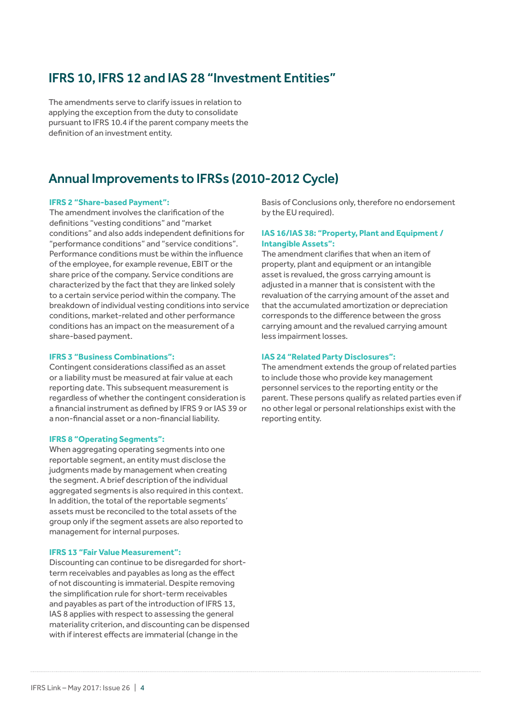## IFRS 10, IFRS 12 and IAS 28 "Investment Entities"

The amendments serve to clarify issues in relation to applying the exception from the duty to consolidate pursuant to IFRS 10.4 if the parent company meets the definition of an investment entity.

## Annual Improvements to IFRSs (2010-2012 Cycle)

#### **IFRS 2 "Share-based Payment":**

The amendment involves the clarification of the definitions "vesting conditions" and "market conditions" and also adds independent definitions for "performance conditions" and "service conditions". Performance conditions must be within the influence of the employee, for example revenue, EBIT or the share price of the company. Service conditions are characterized by the fact that they are linked solely to a certain service period within the company. The breakdown of individual vesting conditions into service conditions, market-related and other performance conditions has an impact on the measurement of a share-based payment.

#### **IFRS 3 "Business Combinations":**

Contingent considerations classified as an asset or a liability must be measured at fair value at each reporting date. This subsequent measurement is regardless of whether the contingent consideration is a financial instrument as defined by IFRS 9 or IAS 39 or a non-financial asset or a non-financial liability.

#### **IFRS 8 "Operating Segments":**

When aggregating operating segments into one reportable segment, an entity must disclose the judgments made by management when creating the segment. A brief description of the individual aggregated segments is also required in this context. In addition, the total of the reportable segments' assets must be reconciled to the total assets of the group only if the segment assets are also reported to management for internal purposes.

#### **IFRS 13 "Fair Value Measurement":**

Discounting can continue to be disregarded for shortterm receivables and payables as long as the effect of not discounting is immaterial. Despite removing the simplification rule for short-term receivables and payables as part of the introduction of IFRS 13, IAS 8 applies with respect to assessing the general materiality criterion, and discounting can be dispensed with if interest effects are immaterial (change in the

Basis of Conclusions only, therefore no endorsement by the EU required).

#### **IAS 16/IAS 38: "Property, Plant and Equipment / Intangible Assets":**

The amendment clarifies that when an item of property, plant and equipment or an intangible asset is revalued, the gross carrying amount is adjusted in a manner that is consistent with the revaluation of the carrying amount of the asset and that the accumulated amortization or depreciation corresponds to the difference between the gross carrying amount and the revalued carrying amount less impairment losses.

#### **IAS 24 "Related Party Disclosures":**

The amendment extends the group of related parties to include those who provide key management personnel services to the reporting entity or the parent. These persons qualify as related parties even if no other legal or personal relationships exist with the reporting entity.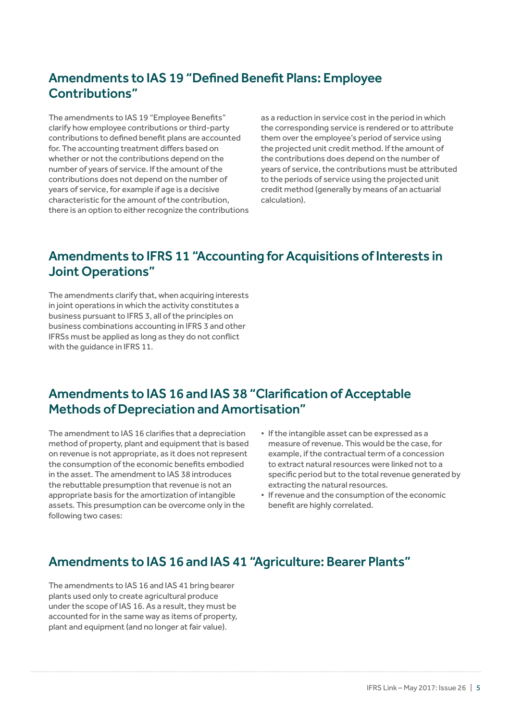## Amendments to IAS 19 "Defined Benefit Plans: Employee Contributions"

The amendments to IAS 19 "Employee Benefits" clarify how employee contributions or third-party contributions to defined benefit plans are accounted for. The accounting treatment differs based on whether or not the contributions depend on the number of years of service. If the amount of the contributions does not depend on the number of years of service, for example if age is a decisive characteristic for the amount of the contribution, there is an option to either recognize the contributions as a reduction in service cost in the period in which the corresponding service is rendered or to attribute them over the employee's period of service using the projected unit credit method. If the amount of the contributions does depend on the number of years of service, the contributions must be attributed to the periods of service using the projected unit credit method (generally by means of an actuarial calculation).

## Amendments to IFRS 11 "Accounting for Acquisitions of Interests in Joint Operations"

The amendments clarify that, when acquiring interests in joint operations in which the activity constitutes a business pursuant to IFRS 3, all of the principles on business combinations accounting in IFRS 3 and other IFRSs must be applied as long as they do not conflict with the guidance in IFRS 11.

#### Amendments to IAS 16 and IAS 38 "Clarification of Acceptable Methods of Depreciation and Amortisation"

The amendment to IAS 16 clarifies that a depreciation method of property, plant and equipment that is based on revenue is not appropriate, as it does not represent the consumption of the economic benefits embodied in the asset. The amendment to IAS 38 introduces the rebuttable presumption that revenue is not an appropriate basis for the amortization of intangible assets. This presumption can be overcome only in the following two cases:

- If the intangible asset can be expressed as a measure of revenue. This would be the case, for example, if the contractual term of a concession to extract natural resources were linked not to a specific period but to the total revenue generated by extracting the natural resources.
- If revenue and the consumption of the economic benefit are highly correlated.

#### Amendments to IAS 16 and IAS 41 "Agriculture: Bearer Plants"

The amendments to IAS 16 and IAS 41 bring bearer plants used only to create agricultural produce under the scope of IAS 16. As a result, they must be accounted for in the same way as items of property, plant and equipment (and no longer at fair value).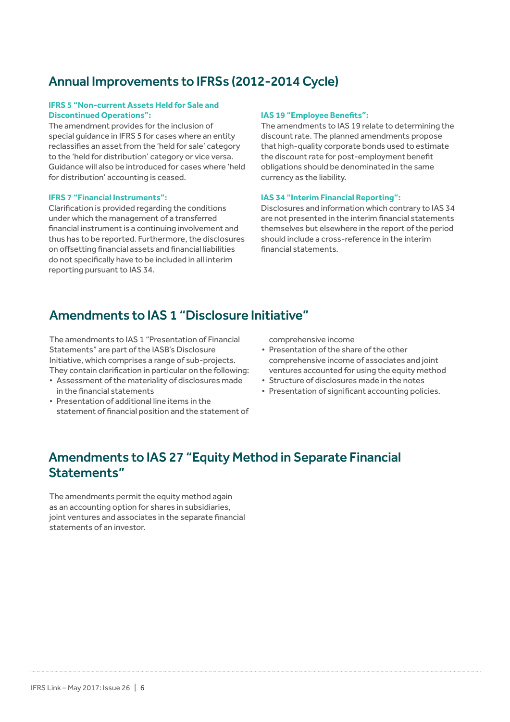## Annual Improvements to IFRSs (2012-2014 Cycle)

#### **IFRS 5 "Non-current Assets Held for Sale and Discontinued Operations":**

The amendment provides for the inclusion of special guidance in IFRS 5 for cases where an entity reclassifies an asset from the 'held for sale' category to the 'held for distribution' category or vice versa. Guidance will also be introduced for cases where 'held for distribution' accounting is ceased.

#### **IFRS 7 "Financial Instruments":**

Clarification is provided regarding the conditions under which the management of a transferred financial instrument is a continuing involvement and thus has to be reported. Furthermore, the disclosures on offsetting financial assets and financial liabilities do not specifically have to be included in all interim reporting pursuant to IAS 34.

#### **IAS 19 "Employee Benefits":**

The amendments to IAS 19 relate to determining the discount rate. The planned amendments propose that high-quality corporate bonds used to estimate the discount rate for post-employment benefit obligations should be denominated in the same currency as the liability.

#### **IAS 34 "Interim Financial Reporting":**

Disclosures and information which contrary to IAS 34 are not presented in the interim financial statements themselves but elsewhere in the report of the period should include a cross-reference in the interim financial statements.

### Amendments to IAS 1 "Disclosure Initiative"

The amendments to IAS 1 "Presentation of Financial Statements" are part of the IASB's Disclosure Initiative, which comprises a range of sub-projects. They contain clarification in particular on the following:

- Assessment of the materiality of disclosures made in the financial statements
- Presentation of additional line items in the statement of financial position and the statement of

comprehensive income

- Presentation of the share of the other comprehensive income of associates and joint ventures accounted for using the equity method
- Structure of disclosures made in the notes
- Presentation of significant accounting policies.

### Amendments to IAS 27 "Equity Method in Separate Financial Statements"

The amendments permit the equity method again as an accounting option for shares in subsidiaries, joint ventures and associates in the separate financial statements of an investor.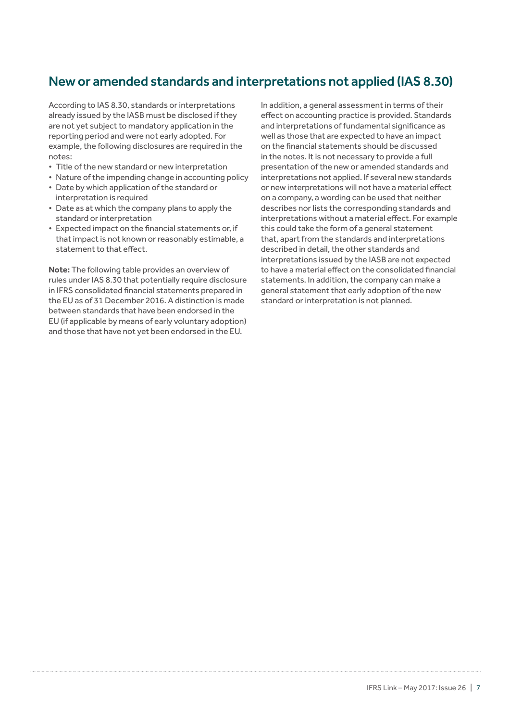## New or amended standards and interpretations not applied (IAS 8.30)

According to IAS 8.30, standards or interpretations already issued by the IASB must be disclosed if they are not yet subject to mandatory application in the reporting period and were not early adopted. For example, the following disclosures are required in the notes:

- Title of the new standard or new interpretation
- Nature of the impending change in accounting policy
- Date by which application of the standard or interpretation is required
- Date as at which the company plans to apply the standard or interpretation
- Expected impact on the financial statements or, if that impact is not known or reasonably estimable, a statement to that effect.

**Note:** The following table provides an overview of rules under IAS 8.30 that potentially require disclosure in IFRS consolidated financial statements prepared in the EU as of 31 December 2016. A distinction is made between standards that have been endorsed in the EU (if applicable by means of early voluntary adoption) and those that have not yet been endorsed in the EU.

In addition, a general assessment in terms of their effect on accounting practice is provided. Standards and interpretations of fundamental significance as well as those that are expected to have an impact on the financial statements should be discussed in the notes. It is not necessary to provide a full presentation of the new or amended standards and interpretations not applied. If several new standards or new interpretations will not have a material effect on a company, a wording can be used that neither describes nor lists the corresponding standards and interpretations without a material effect. For example this could take the form of a general statement that, apart from the standards and interpretations described in detail, the other standards and interpretations issued by the IASB are not expected to have a material effect on the consolidated financial statements. In addition, the company can make a general statement that early adoption of the new standard or interpretation is not planned.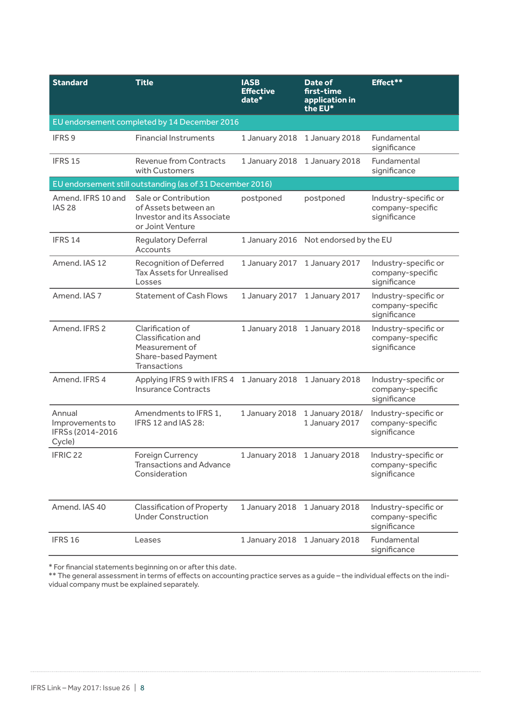| <b>Standard</b>                                         | <b>Title</b>                                                                                          | <b>IASB</b><br><b>Effective</b><br>date* | Date of<br>first-time<br>application in<br>the EU* | Effect**                                                 |
|---------------------------------------------------------|-------------------------------------------------------------------------------------------------------|------------------------------------------|----------------------------------------------------|----------------------------------------------------------|
|                                                         | EU endorsement completed by 14 December 2016                                                          |                                          |                                                    |                                                          |
| IFRS 9                                                  | <b>Financial Instruments</b>                                                                          | 1 January 2018                           | 1 January 2018                                     | Fundamental<br>significance                              |
| IFRS 15                                                 | <b>Revenue from Contracts</b><br>with Customers                                                       | 1 January 2018                           | 1 January 2018                                     | Fundamental<br>significance                              |
|                                                         | EU endorsement still outstanding (as of 31 December 2016)                                             |                                          |                                                    |                                                          |
| Amend. IFRS 10 and<br><b>IAS 28</b>                     | Sale or Contribution<br>of Assets between an<br><b>Investor and its Associate</b><br>or Joint Venture | postponed                                | postponed                                          | Industry-specific or<br>company-specific<br>significance |
| IFRS 14                                                 | <b>Regulatory Deferral</b><br>Accounts                                                                |                                          | 1 January 2016 Not endorsed by the EU              |                                                          |
| Amend. IAS 12                                           | <b>Recognition of Deferred</b><br><b>Tax Assets for Unrealised</b><br>Losses                          | 1 January 2017                           | 1 January 2017                                     | Industry-specific or<br>company-specific<br>significance |
| Amend. IAS 7                                            | <b>Statement of Cash Flows</b>                                                                        | 1 January 2017                           | 1 January 2017                                     | Industry-specific or<br>company-specific<br>significance |
| Amend. IFRS 2                                           | Clarification of<br>Classification and<br>Measurement of<br>Share-based Payment<br>Transactions       |                                          | 1 January 2018 1 January 2018                      | Industry-specific or<br>company-specific<br>significance |
| Amend. IFRS 4                                           | Applying IFRS 9 with IFRS 4 1 January 2018 1 January 2018<br><b>Insurance Contracts</b>               |                                          |                                                    | Industry-specific or<br>company-specific<br>significance |
| Annual<br>Improvements to<br>IFRSs (2014-2016<br>Cycle) | Amendments to IFRS 1,<br>IFRS 12 and IAS 28:                                                          | 1 January 2018                           | 1 January 2018/<br>1 January 2017                  | Industry-specific or<br>company-specific<br>significance |
| IFRIC <sub>22</sub>                                     | Foreign Currency<br><b>Transactions and Advance</b><br>Consideration                                  |                                          | 1 January 2018 1 January 2018                      | Industry-specific or<br>company-specific<br>significance |
| Amend. IAS 40                                           | <b>Classification of Property</b><br><b>Under Construction</b>                                        | 1 January 2018 1 January 2018            |                                                    | Industry-specific or<br>company-specific<br>significance |
| IFRS <sub>16</sub>                                      | Leases                                                                                                |                                          | 1 January 2018 1 January 2018                      | Fundamental<br>significance                              |

\* For financial statements beginning on or after this date.

\*\* The general assessment in terms of effects on accounting practice serves as a guide – the individual effects on the individual company must be explained separately.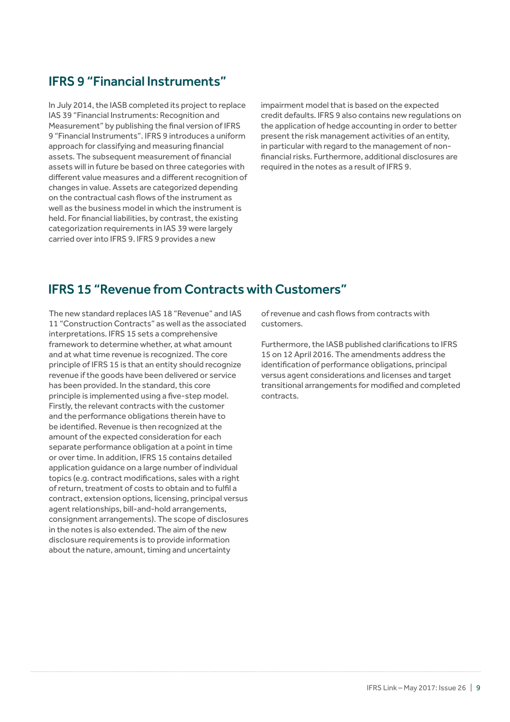### IFRS 9 "Financial Instruments"

In July 2014, the IASB completed its project to replace IAS 39 "Financial Instruments: Recognition and Measurement" by publishing the final version of IFRS 9 "Financial Instruments". IFRS 9 introduces a uniform approach for classifying and measuring financial assets. The subsequent measurement of financial assets will in future be based on three categories with different value measures and a different recognition of changes in value. Assets are categorized depending on the contractual cash flows of the instrument as well as the business model in which the instrument is held. For financial liabilities, by contrast, the existing categorization requirements in IAS 39 were largely carried over into IFRS 9. IFRS 9 provides a new

impairment model that is based on the expected credit defaults. IFRS 9 also contains new regulations on the application of hedge accounting in order to better present the risk management activities of an entity, in particular with regard to the management of nonfinancial risks. Furthermore, additional disclosures are required in the notes as a result of IFRS 9.

### IFRS 15 "Revenue from Contracts with Customers"

The new standard replaces IAS 18 "Revenue" and IAS 11 "Construction Contracts" as well as the associated interpretations. IFRS 15 sets a comprehensive framework to determine whether, at what amount and at what time revenue is recognized. The core principle of IFRS 15 is that an entity should recognize revenue if the goods have been delivered or service has been provided. In the standard, this core principle is implemented using a five-step model. Firstly, the relevant contracts with the customer and the performance obligations therein have to be identified. Revenue is then recognized at the amount of the expected consideration for each separate performance obligation at a point in time or over time. In addition, IFRS 15 contains detailed application guidance on a large number of individual topics (e.g. contract modifications, sales with a right of return, treatment of costs to obtain and to fulfil a contract, extension options, licensing, principal versus agent relationships, bill-and-hold arrangements, consignment arrangements). The scope of disclosures in the notes is also extended. The aim of the new disclosure requirements is to provide information about the nature, amount, timing and uncertainty

of revenue and cash flows from contracts with customers.

Furthermore, the IASB published clarifications to IFRS 15 on 12 April 2016. The amendments address the identification of performance obligations, principal versus agent considerations and licenses and target transitional arrangements for modified and completed contracts.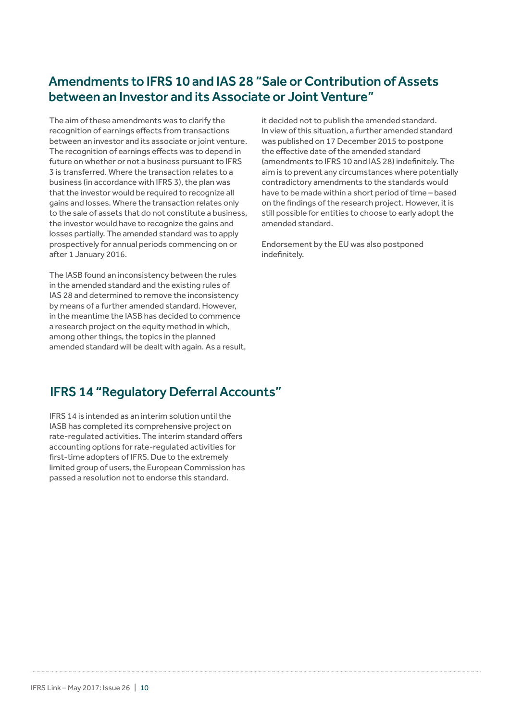## Amendments to IFRS 10 and IAS 28 "Sale or Contribution of Assets between an Investor and its Associate or Joint Venture"

The aim of these amendments was to clarify the recognition of earnings effects from transactions between an investor and its associate or joint venture. The recognition of earnings effects was to depend in future on whether or not a business pursuant to IFRS 3 is transferred. Where the transaction relates to a business (in accordance with IFRS 3), the plan was that the investor would be required to recognize all gains and losses. Where the transaction relates only to the sale of assets that do not constitute a business, the investor would have to recognize the gains and losses partially. The amended standard was to apply prospectively for annual periods commencing on or after 1 January 2016.

The IASB found an inconsistency between the rules in the amended standard and the existing rules of IAS 28 and determined to remove the inconsistency by means of a further amended standard. However, in the meantime the IASB has decided to commence a research project on the equity method in which, among other things, the topics in the planned amended standard will be dealt with again. As a result,

## IFRS 14 "Regulatory Deferral Accounts"

IFRS 14 is intended as an interim solution until the IASB has completed its comprehensive project on rate-regulated activities. The interim standard offers accounting options for rate-regulated activities for first-time adopters of IFRS. Due to the extremely limited group of users, the European Commission has passed a resolution not to endorse this standard.

it decided not to publish the amended standard. In view of this situation, a further amended standard was published on 17 December 2015 to postpone the effective date of the amended standard (amendments to IFRS 10 and IAS 28) indefinitely. The aim is to prevent any circumstances where potentially contradictory amendments to the standards would have to be made within a short period of time – based on the findings of the research project. However, it is still possible for entities to choose to early adopt the amended standard.

Endorsement by the EU was also postponed indefinitely.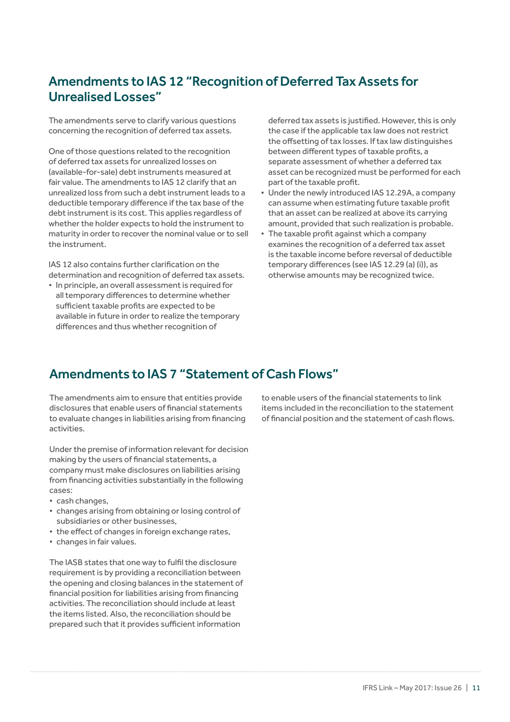## Amendments to IAS 12 "Recognition of Deferred Tax Assets for Unrealised Losses"

The amendments serve to clarify various questions concerning the recognition of deferred tax assets.

One of those questions related to the recognition of deferred tax assets for unrealized losses on (available-for-sale) debt instruments measured at fair value. The amendments to IAS 12 clarify that an unrealized loss from such a debt instrument leads to a deductible temporary difference if the tax base of the debt instrument is its cost. This applies regardless of whether the holder expects to hold the instrument to maturity in order to recover the nominal value or to sell the instrument.

IAS 12 also contains further clarification on the determination and recognition of deferred tax assets.

• In principle, an overall assessment is required for all temporary differences to determine whether sufficient taxable profits are expected to be available in future in order to realize the temporary differences and thus whether recognition of

deferred tax assets is justified. However, this is only the case if the applicable tax law does not restrict the offsetting of tax losses. If tax law distinguishes between different types of taxable profits, a separate assessment of whether a deferred tax asset can be recognized must be performed for each part of the taxable profit.

- Under the newly introduced IAS 12.29A, a company can assume when estimating future taxable profit that an asset can be realized at above its carrying amount, provided that such realization is probable.
- The taxable profit against which a company examines the recognition of a deferred tax asset is the taxable income before reversal of deductible temporary differences (see IAS 12.29 (a) (i)), as otherwise amounts may be recognized twice.

## Amendments to IAS 7 "Statement of Cash Flows"

The amendments aim to ensure that entities provide disclosures that enable users of financial statements to evaluate changes in liabilities arising from financing activities.

Under the premise of information relevant for decision making by the users of financial statements, a company must make disclosures on liabilities arising from financing activities substantially in the following cases:

- cash changes,
- changes arising from obtaining or losing control of subsidiaries or other businesses,
- the effect of changes in foreign exchange rates.
- changes in fair values.

The IASB states that one way to fulfil the disclosure requirement is by providing a reconciliation between the opening and closing balances in the statement of financial position for liabilities arising from financing activities. The reconciliation should include at least the items listed. Also, the reconciliation should be prepared such that it provides sufficient information

to enable users of the financial statements to link items included in the reconciliation to the statement of financial position and the statement of cash flows.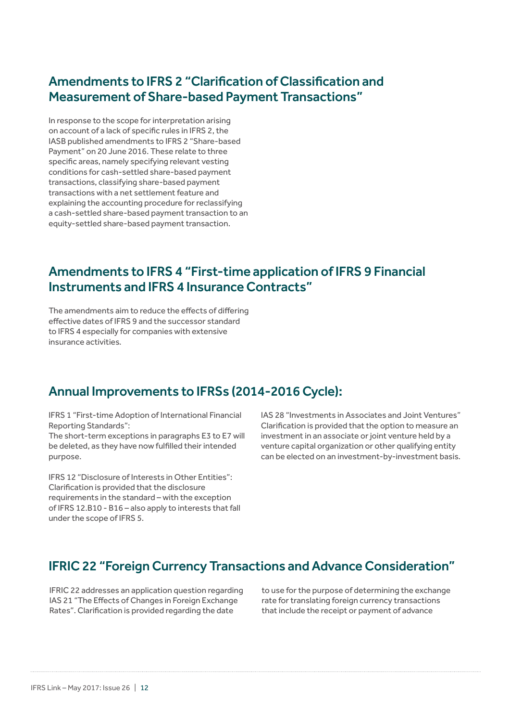## Amendments to IFRS 2 "Clarification of Classification and Measurement of Share-based Payment Transactions"

In response to the scope for interpretation arising on account of a lack of specific rules in IFRS 2, the IASB published amendments to IFRS 2 "Share-based Payment" on 20 June 2016. These relate to three specific areas, namely specifying relevant vesting conditions for cash-settled share-based payment transactions, classifying share-based payment transactions with a net settlement feature and explaining the accounting procedure for reclassifying a cash-settled share-based payment transaction to an equity-settled share-based payment transaction.

#### Amendments to IFRS 4 "First-time application of IFRS 9 Financial Instruments and IFRS 4 Insurance Contracts"

The amendments aim to reduce the effects of differing effective dates of IFRS 9 and the successor standard to IFRS 4 especially for companies with extensive insurance activities.

## Annual Improvements to IFRSs (2014-2016 Cycle):

IFRS 1 "First-time Adoption of International Financial Reporting Standards":

The short-term exceptions in paragraphs E3 to E7 will be deleted, as they have now fulfilled their intended purpose.

IFRS 12 "Disclosure of Interests in Other Entities": Clarification is provided that the disclosure requirements in the standard – with the exception of IFRS 12.B10 - B16 – also apply to interests that fall under the scope of IFRS 5.

IAS 28 "Investments in Associates and Joint Ventures" Clarification is provided that the option to measure an investment in an associate or joint venture held by a venture capital organization or other qualifying entity can be elected on an investment-by-investment basis.

## IFRIC 22 "Foreign Currency Transactions and Advance Consideration"

IFRIC 22 addresses an application question regarding IAS 21 "The Effects of Changes in Foreign Exchange Rates". Clarification is provided regarding the date

to use for the purpose of determining the exchange rate for translating foreign currency transactions that include the receipt or payment of advance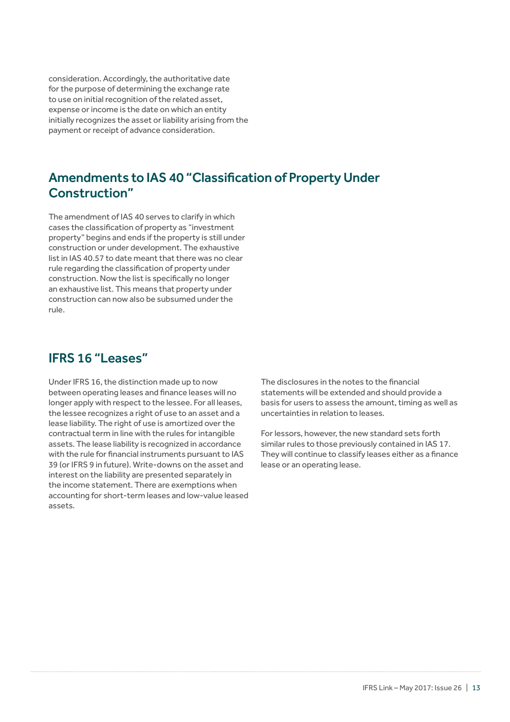consideration. Accordingly, the authoritative date for the purpose of determining the exchange rate to use on initial recognition of the related asset, expense or income is the date on which an entity initially recognizes the asset or liability arising from the payment or receipt of advance consideration.

## Amendments to IAS 40 "Classification of Property Under Construction"

The amendment of IAS 40 serves to clarify in which cases the classification of property as "investment property" begins and ends if the property is still under construction or under development. The exhaustive list in IAS 40.57 to date meant that there was no clear rule regarding the classification of property under construction. Now the list is specifically no longer an exhaustive list. This means that property under construction can now also be subsumed under the rule.

#### IFRS 16 "Leases"

Under IFRS 16, the distinction made up to now between operating leases and finance leases will no longer apply with respect to the lessee. For all leases, the lessee recognizes a right of use to an asset and a lease liability. The right of use is amortized over the contractual term in line with the rules for intangible assets. The lease liability is recognized in accordance with the rule for financial instruments pursuant to IAS 39 (or IFRS 9 in future). Write-downs on the asset and interest on the liability are presented separately in the income statement. There are exemptions when accounting for short-term leases and low-value leased assets.

The disclosures in the notes to the financial statements will be extended and should provide a basis for users to assess the amount, timing as well as uncertainties in relation to leases.

For lessors, however, the new standard sets forth similar rules to those previously contained in IAS 17. They will continue to classify leases either as a finance lease or an operating lease.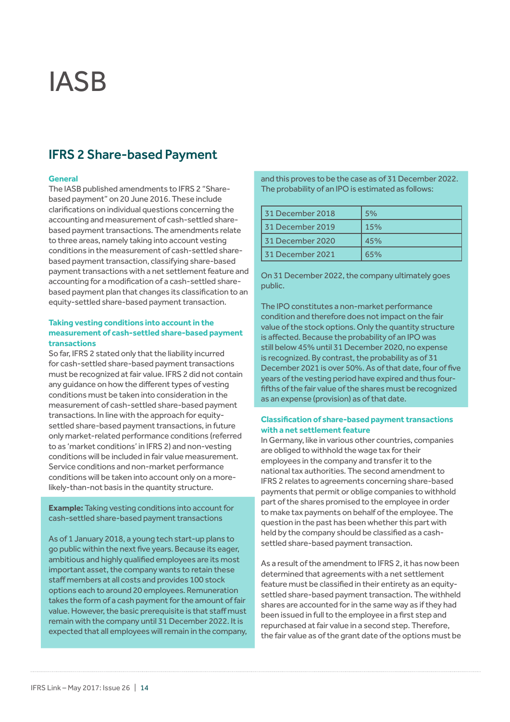## IASB

## IFRS 2 Share-based Payment

#### **General**

The IASB published amendments to IFRS 2 "Sharebased payment" on 20 June 2016. These include clarifications on individual questions concerning the accounting and measurement of cash-settled sharebased payment transactions. The amendments relate to three areas, namely taking into account vesting conditions in the measurement of cash-settled sharebased payment transaction, classifying share-based payment transactions with a net settlement feature and accounting for a modification of a cash-settled sharebased payment plan that changes its classification to an equity-settled share-based payment transaction.

#### **Taking vesting conditions into account in the measurement of cash-settled share-based payment transactions**

So far, IFRS 2 stated only that the liability incurred for cash-settled share-based payment transactions must be recognized at fair value. IFRS 2 did not contain any guidance on how the different types of vesting conditions must be taken into consideration in the measurement of cash-settled share-based payment transactions. In line with the approach for equitysettled share-based payment transactions, in future only market-related performance conditions (referred to as 'market conditions' in IFRS 2) and non-vesting conditions will be included in fair value measurement. Service conditions and non-market performance conditions will be taken into account only on a morelikely-than-not basis in the quantity structure.

**Example:** Taking vesting conditions into account for cash-settled share-based payment transactions

As of 1 January 2018, a young tech start-up plans to go public within the next five years. Because its eager, ambitious and highly qualified employees are its most important asset, the company wants to retain these staff members at all costs and provides 100 stock options each to around 20 employees. Remuneration takes the form of a cash payment for the amount of fair value. However, the basic prerequisite is that staff must remain with the company until 31 December 2022. It is expected that all employees will remain in the company, and this proves to be the case as of 31 December 2022. The probability of an IPO is estimated as follows:

| 31 December 2018 | 5%  |
|------------------|-----|
| 31 December 2019 | 15% |
| 31 December 2020 | 45% |
| 31 December 2021 | 65% |

On 31 December 2022, the company ultimately goes public.

The IPO constitutes a non-market performance condition and therefore does not impact on the fair value of the stock options. Only the quantity structure is affected. Because the probability of an IPO was still below 45% until 31 December 2020, no expense is recognized. By contrast, the probability as of 31 December 2021 is over 50%. As of that date, four of five years of the vesting period have expired and thus fourfifths of the fair value of the shares must be recognized as an expense (provision) as of that date.

#### **Classification of share-based payment transactions with a net settlement feature**

In Germany, like in various other countries, companies are obliged to withhold the wage tax for their employees in the company and transfer it to the national tax authorities. The second amendment to IFRS 2 relates to agreements concerning share-based payments that permit or oblige companies to withhold part of the shares promised to the employee in order to make tax payments on behalf of the employee. The question in the past has been whether this part with held by the company should be classified as a cashsettled share-based payment transaction.

As a result of the amendment to IFRS 2, it has now been determined that agreements with a net settlement feature must be classified in their entirety as an equitysettled share-based payment transaction. The withheld shares are accounted for in the same way as if they had been issued in full to the employee in a first step and repurchased at fair value in a second step. Therefore, the fair value as of the grant date of the options must be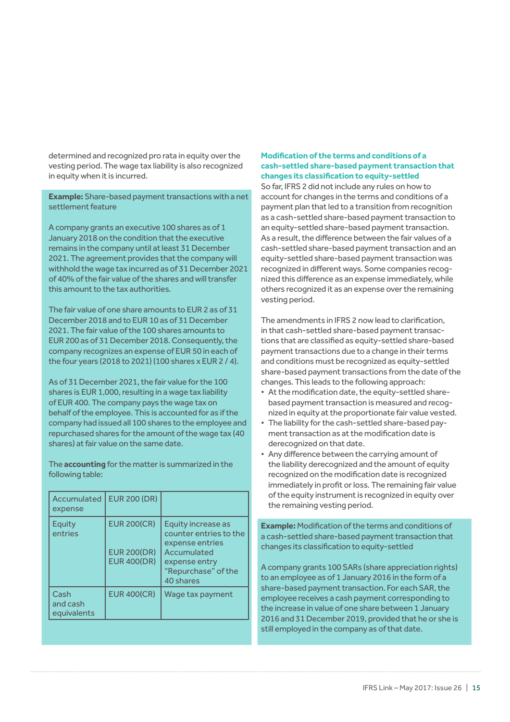determined and recognized pro rata in equity over the vesting period. The wage tax liability is also recognized in equity when it is incurred.

**Example:** Share-based payment transactions with a net settlement feature

A company grants an executive 100 shares as of 1 January 2018 on the condition that the executive remains in the company until at least 31 December 2021. The agreement provides that the company will withhold the wage tax incurred as of 31 December 2021 of 40% of the fair value of the shares and will transfer this amount to the tax authorities.

The fair value of one share amounts to EUR 2 as of 31 December 2018 and to EUR 10 as of 31 December 2021. The fair value of the 100 shares amounts to EUR 200 as of 31 December 2018. Consequently, the company recognizes an expense of EUR 50 in each of the four years (2018 to 2021) (100 shares x EUR 2 / 4).

As of 31 December 2021, the fair value for the 100 shares is EUR 1,000, resulting in a wage tax liability of EUR 400. The company pays the wage tax on behalf of the employee. This is accounted for as if the company had issued all 100 shares to the employee and repurchased shares for the amount of the wage tax (40 shares) at fair value on the same date.

The **accounting** for the matter is summarized in the following table:

| Accumulated<br>expense          | <b>EUR 200 (DR)</b> |                                                                 |
|---------------------------------|---------------------|-----------------------------------------------------------------|
| Equity<br>entries               | <b>EUR 200(CR)</b>  | Equity increase as<br>counter entries to the<br>expense entries |
|                                 | <b>EUR 200(DR)</b>  | Accumulated                                                     |
|                                 | <b>EUR 400(DR)</b>  | expense entry                                                   |
|                                 |                     | "Repurchase" of the                                             |
|                                 |                     | 40 shares                                                       |
| Cash<br>and cash<br>equivalents | <b>EUR 400(CR)</b>  | Wage tax payment                                                |

#### **Modification of the terms and conditions of a cash-settled share-based payment transaction that changes its classification to equity-settled**

So far, IFRS 2 did not include any rules on how to account for changes in the terms and conditions of a payment plan that led to a transition from recognition as a cash-settled share-based payment transaction to an equity-settled share-based payment transaction. As a result, the difference between the fair values of a cash-settled share-based payment transaction and an equity-settled share-based payment transaction was recognized in different ways. Some companies recognized this difference as an expense immediately, while others recognized it as an expense over the remaining vesting period.

The amendments in IFRS 2 now lead to clarification, in that cash-settled share-based payment transactions that are classified as equity-settled share-based payment transactions due to a change in their terms and conditions must be recognized as equity-settled share-based payment transactions from the date of the changes. This leads to the following approach:

- At the modification date, the equity-settled sharebased payment transaction is measured and recognized in equity at the proportionate fair value vested.
- The liability for the cash-settled share-based payment transaction as at the modification date is derecognized on that date.
- Any difference between the carrying amount of the liability derecognized and the amount of equity recognized on the modification date is recognized immediately in profit or loss. The remaining fair value of the equity instrument is recognized in equity over the remaining vesting period.

**Example:** Modification of the terms and conditions of a cash-settled share-based payment transaction that changes its classification to equity-settled

A company grants 100 SARs (share appreciation rights) to an employee as of 1 January 2016 in the form of a share-based payment transaction. For each SAR, the employee receives a cash payment corresponding to the increase in value of one share between 1 January 2016 and 31 December 2019, provided that he or she is still employed in the company as of that date.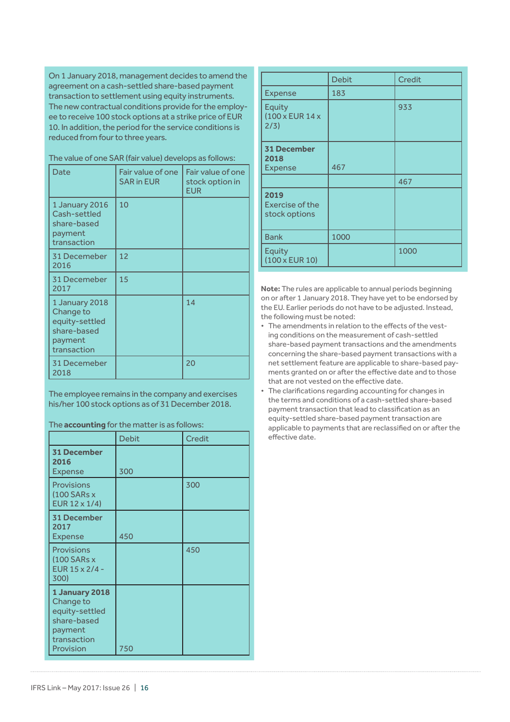On 1 January 2018, management decides to amend the agreement on a cash-settled share-based payment transaction to settlement using equity instruments. The new contractual conditions provide for the employee to receive 100 stock options at a strike price of EUR 10. In addition, the period for the service conditions is reduced from four to three years.

|  |  | The value of one SAR (fair value) develops as follows: |
|--|--|--------------------------------------------------------|
|--|--|--------------------------------------------------------|

| Date                                                                                   | Fair value of one<br><b>SAR in EUR</b> | Fair value of one<br>stock option in<br><b>EUR</b> |
|----------------------------------------------------------------------------------------|----------------------------------------|----------------------------------------------------|
| 1 January 2016<br>Cash-settled<br>share-based<br>payment<br>transaction                | 10                                     |                                                    |
| 31 Decemeber<br>2016                                                                   | 12                                     |                                                    |
| 31 Decemeber<br>2017                                                                   | 15                                     |                                                    |
| 1 January 2018<br>Change to<br>equity-settled<br>share-based<br>payment<br>transaction |                                        | 14                                                 |
| 31 Decemeber<br>2018                                                                   |                                        | 20                                                 |

The employee remains in the company and exercises his/her 100 stock options as of 31 December 2018.

The **accounting** for the matter is as follows:

|                                                                                                     | <b>Debit</b> | Credit |
|-----------------------------------------------------------------------------------------------------|--------------|--------|
| <b>31 December</b><br>2016<br><b>Expense</b>                                                        | 300          |        |
| <b>Provisions</b><br>$(100$ SARs $x$<br>EUR 12 x 1/4)                                               |              | 300    |
| <b>31 December</b><br>2017<br><b>Expense</b>                                                        | 450          |        |
| <b>Provisions</b><br>(100 SARs x<br>EUR 15 x 2/4 -<br>300)                                          |              | 450    |
| 1 January 2018<br>Change to<br>equity-settled<br>share-based<br>payment<br>transaction<br>Provision | 750          |        |

|                                                 | <b>Debit</b> | Credit |
|-------------------------------------------------|--------------|--------|
| Expense                                         | 183          |        |
| Equity<br>(100 x EUR 14 x<br>2/3)               |              | 933    |
| <b>31 December</b><br>2018<br><b>Expense</b>    | 467          |        |
|                                                 |              | 467    |
| 2019<br><b>Exercise of the</b><br>stock options |              |        |
| <b>Bank</b>                                     | 1000         |        |
| <b>Equity</b><br>(100 x EUR 10)                 |              | 1000   |

**Note:** The rules are applicable to annual periods beginning on or after 1 January 2018. They have yet to be endorsed by the EU. Earlier periods do not have to be adjusted. Instead, the following must be noted:

- The amendments in relation to the effects of the vesting conditions on the measurement of cash-settled share-based payment transactions and the amendments concerning the share-based payment transactions with a net settlement feature are applicable to share-based payments granted on or after the effective date and to those that are not vested on the effective date.
- The clarifications regarding accounting for changes in the terms and conditions of a cash-settled share-based payment transaction that lead to classification as an equity-settled share-based payment transaction are applicable to payments that are reclassified on or after the effective date.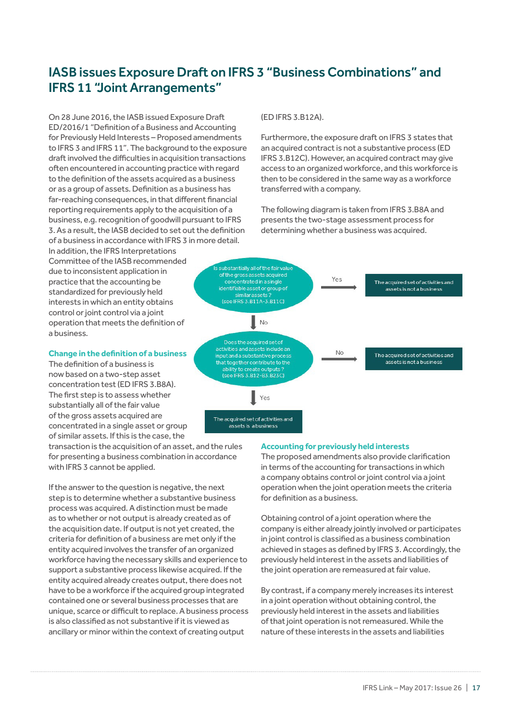## IASB issues Exposure Draft on IFRS 3 "Business Combinations" and IFRS 11 "Joint Arrangements"

On 28 June 2016, the IASB issued Exposure Draft ED/2016/1 "Definition of a Business and Accounting for Previously Held Interests – Proposed amendments to IFRS 3 and IFRS 11". The background to the exposure draft involved the difficulties in acquisition transactions often encountered in accounting practice with regard to the definition of the assets acquired as a business or as a group of assets. Definition as a business has far-reaching consequences, in that different financial reporting requirements apply to the acquisition of a business, e.g. recognition of goodwill pursuant to IFRS 3. As a result, the IASB decided to set out the definition of a business in accordance with IFRS 3 in more detail.

In addition, the IFRS Interpretations Committee of the IASB recommended due to inconsistent application in practice that the accounting be standardized for previously held interests in which an entity obtains control or joint control via a joint operation that meets the definition of a business.

#### **Change in the definition of a business**

The definition of a business is now based on a two-step asset concentration test (ED IFRS 3.B8A). The first step is to assess whether substantially all of the fair value of the gross assets acquired are concentrated in a single asset or group of similar assets. If this is the case, the

transaction is the acquisition of an asset, and the rules for presenting a business combination in accordance with IFRS 3 cannot be applied.

If the answer to the question is negative, the next step is to determine whether a substantive business process was acquired. A distinction must be made as to whether or not output is already created as of the acquisition date. If output is not yet created, the criteria for definition of a business are met only if the entity acquired involves the transfer of an organized workforce having the necessary skills and experience to support a substantive process likewise acquired. If the entity acquired already creates output, there does not have to be a workforce if the acquired group integrated contained one or several business processes that are unique, scarce or difficult to replace. A business process is also classified as not substantive if it is viewed as ancillary or minor within the context of creating output

#### (ED IFRS 3.B12A).

Furthermore, the exposure draft on IFRS 3 states that an acquired contract is not a substantive process (ED IFRS 3.B12C). However, an acquired contract may give access to an organized workforce, and this workforce is then to be considered in the same way as a workforce transferred with a company.

The following diagram is taken from IFRS 3.B8A and presents the two-stage assessment process for determining whether a business was acquired.



#### **Accounting for previously held interests**

The proposed amendments also provide clarification in terms of the accounting for transactions in which a company obtains control or joint control via a joint operation when the joint operation meets the criteria for definition as a business.

Obtaining control of a joint operation where the company is either already jointly involved or participates in joint control is classified as a business combination achieved in stages as defined by IFRS 3. Accordingly, the previously held interest in the assets and liabilities of the joint operation are remeasured at fair value.

By contrast, if a company merely increases its interest in a joint operation without obtaining control, the previously held interest in the assets and liabilities of that joint operation is not remeasured. While the nature of these interests in the assets and liabilities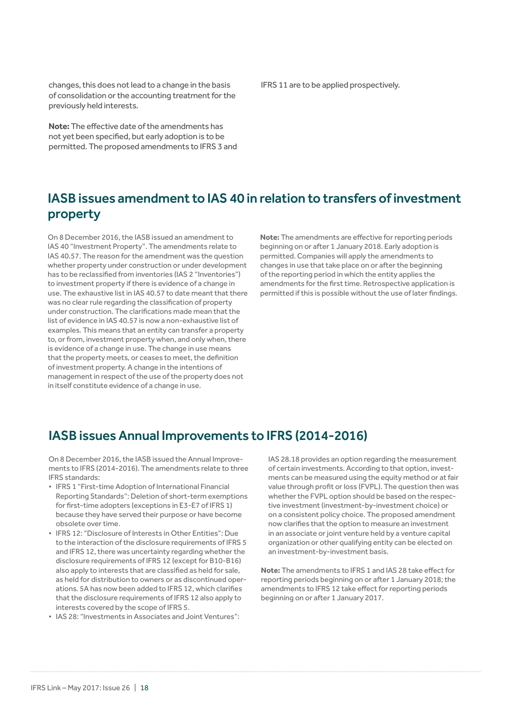changes, this does not lead to a change in the basis of consolidation or the accounting treatment for the previously held interests.

**Note:** The effective date of the amendments has not yet been specified, but early adoption is to be permitted. The proposed amendments to IFRS 3 and IFRS 11 are to be applied prospectively.

#### IASB issues amendment to IAS 40 in relation to transfers of investment property

On 8 December 2016, the IASB issued an amendment to IAS 40 "Investment Property". The amendments relate to IAS 40.57. The reason for the amendment was the question whether property under construction or under development has to be reclassified from inventories (IAS 2 "Inventories") to investment property if there is evidence of a change in use. The exhaustive list in IAS 40.57 to date meant that there was no clear rule regarding the classification of property under construction. The clarifications made mean that the list of evidence in IAS 40.57 is now a non-exhaustive list of examples. This means that an entity can transfer a property to, or from, investment property when, and only when, there is evidence of a change in use. The change in use means that the property meets, or ceases to meet, the definition of investment property. A change in the intentions of management in respect of the use of the property does not in itself constitute evidence of a change in use.

**Note:** The amendments are effective for reporting periods beginning on or after 1 January 2018. Early adoption is permitted. Companies will apply the amendments to changes in use that take place on or after the beginning of the reporting period in which the entity applies the amendments for the first time. Retrospective application is permitted if this is possible without the use of later findings.

#### IASB issues Annual Improvements to IFRS (2014-2016)

On 8 December 2016, the IASB issued the Annual Improvements to IFRS (2014-2016). The amendments relate to three IFRS standards:

- IFRS 1 "First-time Adoption of International Financial Reporting Standards": Deletion of short-term exemptions for first-time adopters (exceptions in E3-E7 of IFRS 1) because they have served their purpose or have become obsolete over time.
- IFRS 12: "Disclosure of Interests in Other Entities": Due to the interaction of the disclosure requirements of IFRS 5 and IFRS 12, there was uncertainty regarding whether the disclosure requirements of IFRS 12 (except for B10-B16) also apply to interests that are classified as held for sale, as held for distribution to owners or as discontinued operations. 5A has now been added to IFRS 12, which clarifies that the disclosure requirements of IFRS 12 also apply to interests covered by the scope of IFRS 5.
- IAS 28: "Investments in Associates and Joint Ventures":

IAS 28.18 provides an option regarding the measurement of certain investments. According to that option, investments can be measured using the equity method or at fair value through profit or loss (FVPL). The question then was whether the FVPL option should be based on the respective investment (investment-by-investment choice) or on a consistent policy choice. The proposed amendment now clarifies that the option to measure an investment in an associate or joint venture held by a venture capital organization or other qualifying entity can be elected on an investment-by-investment basis.

**Note:** The amendments to IFRS 1 and IAS 28 take effect for reporting periods beginning on or after 1 January 2018; the amendments to IFRS 12 take effect for reporting periods beginning on or after 1 January 2017.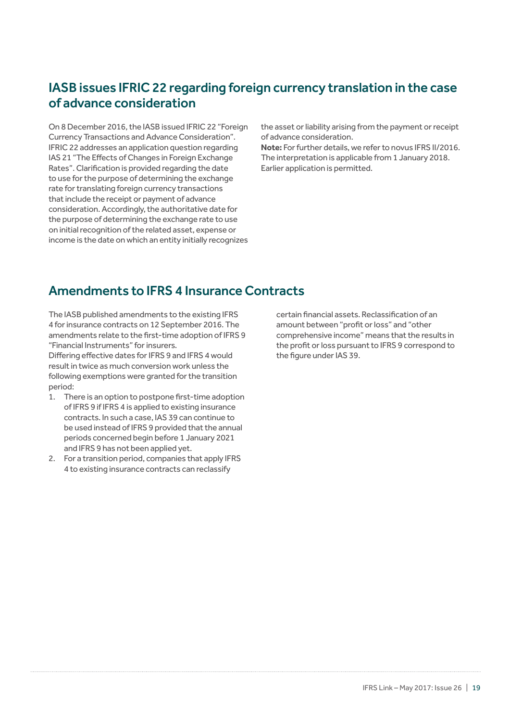## IASB issues IFRIC 22 regarding foreign currency translation in the case of advance consideration

On 8 December 2016, the IASB issued IFRIC 22 "Foreign Currency Transactions and Advance Consideration". IFRIC 22 addresses an application question regarding IAS 21 "The Effects of Changes in Foreign Exchange Rates". Clarification is provided regarding the date to use for the purpose of determining the exchange rate for translating foreign currency transactions that include the receipt or payment of advance consideration. Accordingly, the authoritative date for the purpose of determining the exchange rate to use on initial recognition of the related asset, expense or income is the date on which an entity initially recognizes the asset or liability arising from the payment or receipt of advance consideration.

**Note:** For further details, we refer to novus IFRS II/2016. The interpretation is applicable from 1 January 2018. Earlier application is permitted.

#### Amendments to IFRS 4 Insurance Contracts

The IASB published amendments to the existing IFRS 4 for insurance contracts on 12 September 2016. The amendments relate to the first-time adoption of IFRS 9 "Financial Instruments" for insurers.

Differing effective dates for IFRS 9 and IFRS 4 would result in twice as much conversion work unless the following exemptions were granted for the transition period:

- 1. There is an option to postpone first-time adoption of IFRS 9 if IFRS 4 is applied to existing insurance contracts. In such a case, IAS 39 can continue to be used instead of IFRS 9 provided that the annual periods concerned begin before 1 January 2021 and IFRS 9 has not been applied yet.
- 2. For a transition period, companies that apply IFRS 4 to existing insurance contracts can reclassify

certain financial assets. Reclassification of an amount between "profit or loss" and "other comprehensive income" means that the results in the profit or loss pursuant to IFRS 9 correspond to the figure under IAS 39.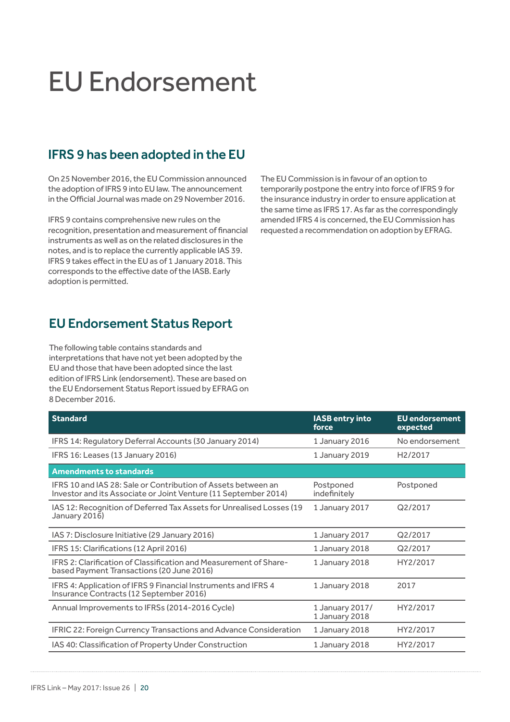# EU Endorsement

## IFRS 9 has been adopted in the EU

On 25 November 2016, the EU Commission announced the adoption of IFRS 9 into EU law. The announcement in the Official Journal was made on 29 November 2016.

IFRS 9 contains comprehensive new rules on the recognition, presentation and measurement of financial instruments as well as on the related disclosures in the notes, and is to replace the currently applicable IAS 39. IFRS 9 takes effect in the EU as of 1 January 2018. This corresponds to the effective date of the IASB. Early adoption is permitted.

EU Endorsement Status Report

The following table contains standards and interpretations that have not yet been adopted by the EU and those that have been adopted since the last edition of IFRS Link (endorsement). These are based on the EU Endorsement Status Report issued by EFRAG on 8 December 2016.

The EU Commission is in favour of an option to temporarily postpone the entry into force of IFRS 9 for the insurance industry in order to ensure application at the same time as IFRS 17. As far as the correspondingly amended IFRS 4 is concerned, the EU Commission has requested a recommendation on adoption by EFRAG.

| <b>Standard</b>                                                                                                                  | <b>IASB</b> entry into<br>force   | <b>EU</b> endorsement<br>expected |
|----------------------------------------------------------------------------------------------------------------------------------|-----------------------------------|-----------------------------------|
| IFRS 14: Regulatory Deferral Accounts (30 January 2014)                                                                          | 1 January 2016                    | No endorsement                    |
| IFRS 16: Leases (13 January 2016)                                                                                                | 1 January 2019                    | H <sub>2</sub> /2017              |
| <b>Amendments to standards</b>                                                                                                   |                                   |                                   |
| IFRS 10 and IAS 28: Sale or Contribution of Assets between an<br>Investor and its Associate or Joint Venture (11 September 2014) | Postponed<br>indefinitely         | Postponed                         |
| IAS 12: Recognition of Deferred Tax Assets for Unrealised Losses (19<br>January 2016)                                            | 1 January 2017                    | Q2/2017                           |
| IAS 7: Disclosure Initiative (29 January 2016)                                                                                   | 1 January 2017                    | Q2/2017                           |
| IFRS 15: Clarifications (12 April 2016)                                                                                          | 1 January 2018                    | Q2/2017                           |
| IFRS 2: Clarification of Classification and Measurement of Share-<br>based Payment Transactions (20 June 2016)                   | 1 January 2018                    | HY2/2017                          |
| IFRS 4: Application of IFRS 9 Financial Instruments and IFRS 4<br>Insurance Contracts (12 September 2016)                        | 1 January 2018                    | 2017                              |
| Annual Improvements to IFRSs (2014-2016 Cycle)                                                                                   | 1 January 2017/<br>1 January 2018 | HY2/2017                          |
| <b>IFRIC 22: Foreign Currency Transactions and Advance Consideration</b>                                                         | 1 January 2018                    | HY2/2017                          |
| IAS 40: Classification of Property Under Construction                                                                            | 1 January 2018                    | HY2/2017                          |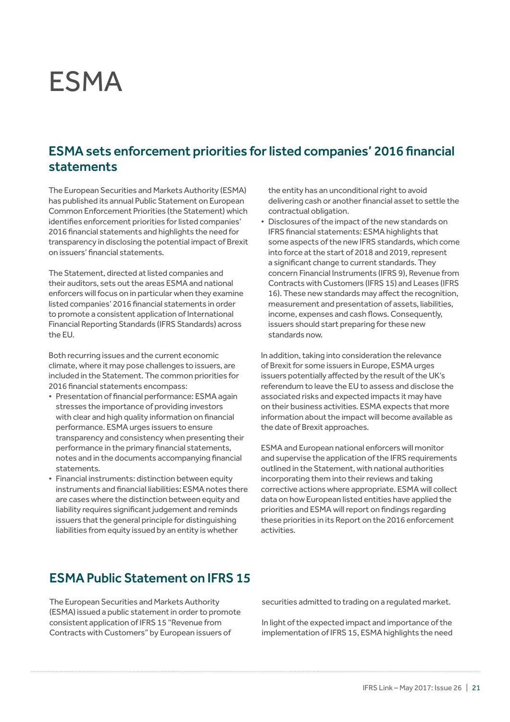## ESMA

## ESMA sets enforcement priorities for listed companies' 2016 financial statements

The European Securities and Markets Authority (ESMA) has published its annual Public Statement on European Common Enforcement Priorities (the Statement) which identifies enforcement priorities for listed companies' 2016 financial statements and highlights the need for transparency in disclosing the potential impact of Brexit on issuers' financial statements.

The Statement, directed at listed companies and their auditors, sets out the areas ESMA and national enforcers will focus on in particular when they examine listed companies' 2016 financial statements in order to promote a consistent application of International Financial Reporting Standards (IFRS Standards) across the EU.

Both recurring issues and the current economic climate, where it may pose challenges to issuers, are included in the Statement. The common priorities for 2016 financial statements encompass:

- Presentation of financial performance: ESMA again stresses the importance of providing investors with clear and high quality information on financial performance. ESMA urges issuers to ensure transparency and consistency when presenting their performance in the primary financial statements, notes and in the documents accompanying financial statements.
- Financial instruments: distinction between equity instruments and financial liabilities: ESMA notes there are cases where the distinction between equity and liability requires significant judgement and reminds issuers that the general principle for distinguishing liabilities from equity issued by an entity is whether

the entity has an unconditional right to avoid delivering cash or another financial asset to settle the contractual obligation.

• Disclosures of the impact of the new standards on IFRS financial statements: ESMA highlights that some aspects of the new IFRS standards, which come into force at the start of 2018 and 2019, represent a significant change to current standards. They concern Financial Instruments (IFRS 9), Revenue from Contracts with Customers (IFRS 15) and Leases (IFRS 16). These new standards may affect the recognition, measurement and presentation of assets, liabilities, income, expenses and cash flows. Consequently, issuers should start preparing for these new standards now.

In addition, taking into consideration the relevance of Brexit for some issuers in Europe, ESMA urges issuers potentially affected by the result of the UK's referendum to leave the EU to assess and disclose the associated risks and expected impacts it may have on their business activities. ESMA expects that more information about the impact will become available as the date of Brexit approaches.

ESMA and European national enforcers will monitor and supervise the application of the IFRS requirements outlined in the Statement, with national authorities incorporating them into their reviews and taking corrective actions where appropriate. ESMA will collect data on how European listed entities have applied the priorities and ESMA will report on findings regarding these priorities in its Report on the 2016 enforcement activities.

## ESMA Public Statement on IFRS 15

The European Securities and Markets Authority (ESMA) issued a public statement in order to promote consistent application of IFRS 15 "Revenue from Contracts with Customers" by European issuers of

securities admitted to trading on a regulated market.

In light of the expected impact and importance of the implementation of IFRS 15, ESMA highlights the need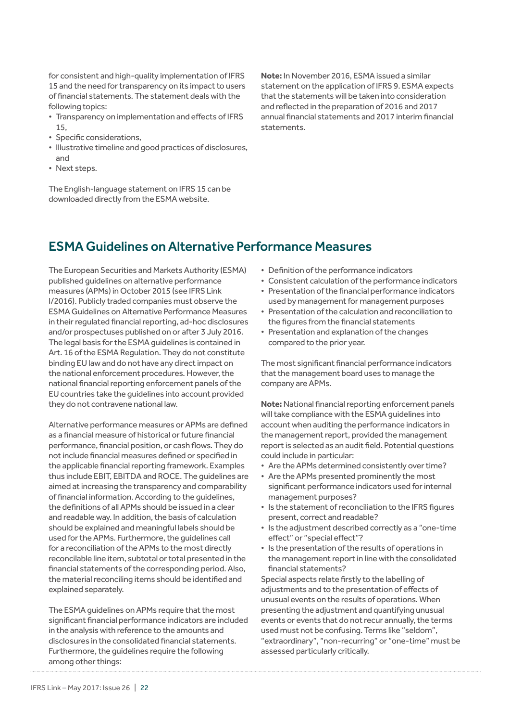for consistent and high-quality implementation of IFRS 15 and the need for transparency on its impact to users of financial statements. The statement deals with the following topics:

- Transparency on implementation and effects of IFRS 15,
- Specific considerations,
- Illustrative timeline and good practices of disclosures, and
- Next steps.

The English-language statement on IFRS 15 can be downloaded directly from the ESMA website.

**Note:** In November 2016, ESMA issued a similar statement on the application of IFRS 9. ESMA expects that the statements will be taken into consideration and reflected in the preparation of 2016 and 2017 annual financial statements and 2017 interim financial statements.

## ESMA Guidelines on Alternative Performance Measures

The European Securities and Markets Authority (ESMA) published guidelines on alternative performance measures (APMs) in October 2015 (see IFRS Link I/2016). Publicly traded companies must observe the ESMA Guidelines on Alternative Performance Measures in their regulated financial reporting, ad-hoc disclosures and/or prospectuses published on or after 3 July 2016. The legal basis for the ESMA guidelines is contained in Art. 16 of the ESMA Regulation. They do not constitute binding EU law and do not have any direct impact on the national enforcement procedures. However, the national financial reporting enforcement panels of the EU countries take the guidelines into account provided they do not contravene national law.

Alternative performance measures or APMs are defined as a financial measure of historical or future financial performance, financial position, or cash flows. They do not include financial measures defined or specified in the applicable financial reporting framework. Examples thus include EBIT, EBITDA and ROCE. The guidelines are aimed at increasing the transparency and comparability of financial information. According to the guidelines, the definitions of all APMs should be issued in a clear and readable way. In addition, the basis of calculation should be explained and meaningful labels should be used for the APMs. Furthermore, the guidelines call for a reconciliation of the APMs to the most directly reconcilable line item, subtotal or total presented in the financial statements of the corresponding period. Also, the material reconciling items should be identified and explained separately.

The ESMA guidelines on APMs require that the most significant financial performance indicators are included in the analysis with reference to the amounts and disclosures in the consolidated financial statements. Furthermore, the guidelines require the following among other things:

- Definition of the performance indicators
- Consistent calculation of the performance indicators • Presentation of the financial performance indicators
- used by management for management purposes
- Presentation of the calculation and reconciliation to the figures from the financial statements
- Presentation and explanation of the changes compared to the prior year.

The most significant financial performance indicators that the management board uses to manage the company are APMs.

**Note:** National financial reporting enforcement panels will take compliance with the ESMA guidelines into account when auditing the performance indicators in the management report, provided the management report is selected as an audit field. Potential questions could include in particular:

- Are the APMs determined consistently over time?
- Are the APMs presented prominently the most significant performance indicators used for internal management purposes?
- Is the statement of reconciliation to the IFRS figures present, correct and readable?
- Is the adjustment described correctly as a "one-time effect" or "special effect"?
- Is the presentation of the results of operations in the management report in line with the consolidated financial statements?

Special aspects relate firstly to the labelling of adjustments and to the presentation of effects of unusual events on the results of operations. When presenting the adjustment and quantifying unusual events or events that do not recur annually, the terms used must not be confusing. Terms like "seldom", "extraordinary", "non-recurring" or "one-time" must be assessed particularly critically.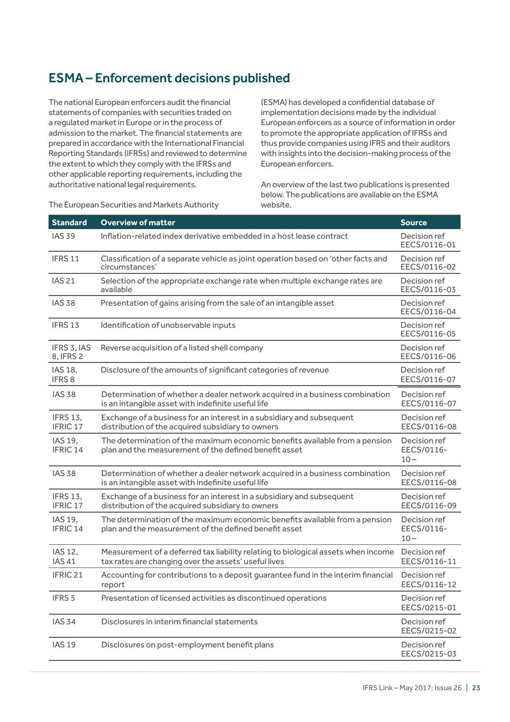## ESMA – Enforcement decisions published

The national European enforcers audit the financial statements of companies with securities traded on a regulated market in Europe or in the process of admission to the market. The financial statements are prepared in accordance with the International Financial Reporting Standards (IFRSs) and reviewed to determine the extent to which they comply with the IFRSs and other applicable reporting requirements, including the authoritative national legal requirements.

The European Securities and Markets Authority

(ESMA) has developed a confidential database of implementation decisions made by the individual European enforcers as a source of information in order to promote the appropriate application of IFRSs and thus provide companies using IFRS and their auditors with insights into the decision-making process of the European enforcers.

An overview of the last two publications is presented below. The publications are available on the ESMA website.

| <b>Standard</b>                        | <b>Overview of matter</b>                                                                                                                 | <b>Source</b>                        |
|----------------------------------------|-------------------------------------------------------------------------------------------------------------------------------------------|--------------------------------------|
| <b>IAS 39</b>                          | Inflation-related index derivative embedded in a host lease contract                                                                      | Decision ref<br>EECS/0116-01         |
| IFRS 11                                | Classification of a separate vehicle as joint operation based on 'other facts and<br>circumstances'                                       | Decision ref<br>EECS/0116-02         |
| <b>IAS 21</b>                          | Selection of the appropriate exchange rate when multiple exchange rates are<br>available                                                  | Decision ref<br>EECS/0116-03         |
| <b>IAS 38</b>                          | Presentation of gains arising from the sale of an intangible asset                                                                        | Decision ref<br>EECS/0116-04         |
| IFRS 13                                | Identification of unobservable inputs                                                                                                     | Decision ref<br>EECS/0116-05         |
| <b>IFRS 3. IAS</b><br>8, IFRS 2        | Reverse acquisition of a listed shell company                                                                                             | Decision ref<br>EECS/0116-06         |
| IAS 18,<br>IFRS 8                      | Disclosure of the amounts of significant categories of revenue                                                                            | Decision ref<br>EECS/0116-07         |
| <b>IAS 38</b>                          | Determination of whether a dealer network acquired in a business combination<br>is an intangible asset with indefinite useful life        | Decision ref<br>EECS/0116-07         |
| <b>IFRS 13,</b><br>IFRIC <sub>17</sub> | Exchange of a business for an interest in a subsidiary and subsequent<br>distribution of the acquired subsidiary to owners                | Decision ref<br>EECS/0116-08         |
| IAS 19,<br><b>IFRIC 14</b>             | The determination of the maximum economic benefits available from a pension<br>plan and the measurement of the defined benefit asset      | Decision ref<br>EECS/0116-<br>$10 -$ |
| <b>IAS 38</b>                          | Determination of whether a dealer network acquired in a business combination<br>is an intangible asset with indefinite useful life        | Decision ref<br>EECS/0116-08         |
| <b>IFRS 13,</b><br>IFRIC <sub>17</sub> | Exchange of a business for an interest in a subsidiary and subsequent<br>distribution of the acquired subsidiary to owners                | Decision ref<br>EECS/0116-09         |
| IAS 19.<br>IFRIC <sub>14</sub>         | The determination of the maximum economic benefits available from a pension<br>plan and the measurement of the defined benefit asset      | Decision ref<br>EECS/0116-<br>$10 -$ |
| IAS 12,<br><b>IAS 41</b>               | Measurement of a deferred tax liability relating to biological assets when income<br>tax rates are changing over the assets' useful lives | Decision ref<br>EECS/0116-11         |
| <b>IFRIC 21</b>                        | Accounting for contributions to a deposit quarantee fund in the interim financial<br>report                                               | Decision ref<br>EECS/0116-12         |
| IFRS <sub>5</sub>                      | Presentation of licensed activities as discontinued operations                                                                            | Decision ref<br>EECS/0215-01         |
| <b>IAS 34</b>                          | Disclosures in interim financial statements                                                                                               | Decision ref<br>EECS/0215-02         |
| <b>IAS 19</b>                          | Disclosures on post-employment benefit plans                                                                                              | Decision ref<br>EECS/0215-03         |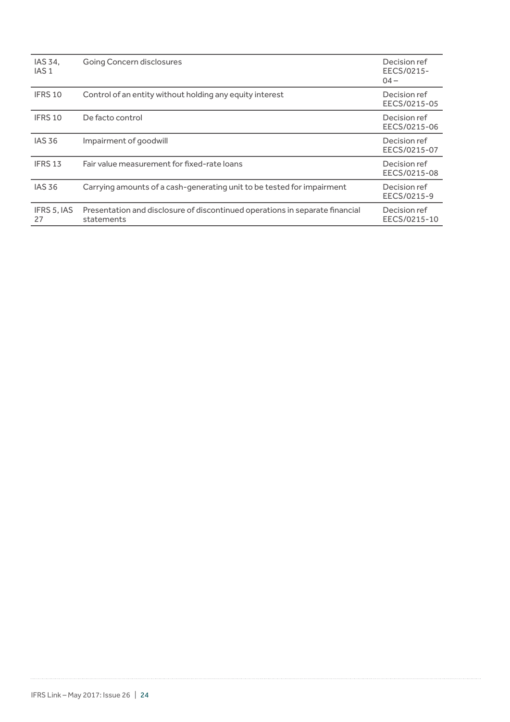| IAS 34.<br>IAS <sub>1</sub> | Going Concern disclosures                                                                  | Decision ref<br>EECS/0215-<br>$04 -$ |
|-----------------------------|--------------------------------------------------------------------------------------------|--------------------------------------|
| IFRS 10                     | Control of an entity without holding any equity interest                                   | Decision ref<br>EECS/0215-05         |
| IFRS 10                     | De facto control                                                                           | Decision ref<br>EECS/0215-06         |
| <b>IAS 36</b>               | Impairment of goodwill                                                                     | Decision ref<br>EECS/0215-07         |
| <b>IFRS 13</b>              | Fair value measurement for fixed-rate loans                                                | Decision ref<br>EECS/0215-08         |
| <b>IAS 36</b>               | Carrying amounts of a cash-generating unit to be tested for impairment                     | Decision ref<br>EECS/0215-9          |
| IFRS 5, IAS<br>27           | Presentation and disclosure of discontinued operations in separate financial<br>statements | Decision ref<br>EECS/0215-10         |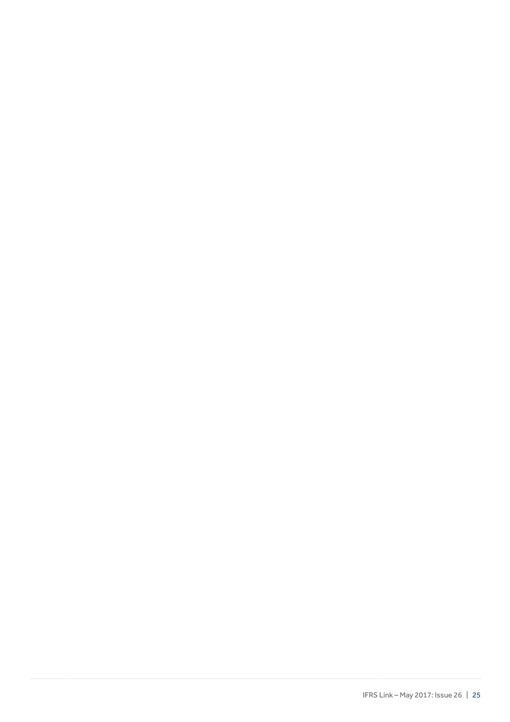$\cdots$